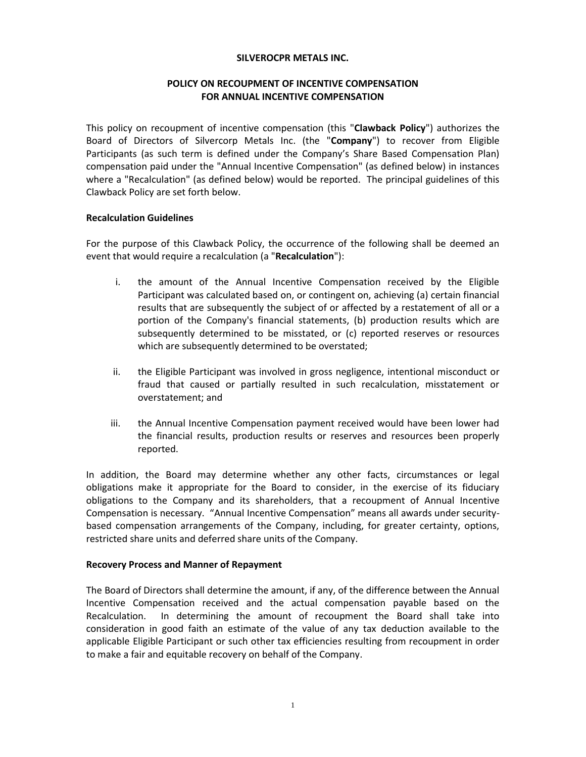#### **SILVEROCPR METALS INC.**

# **POLICY ON RECOUPMENT OF INCENTIVE COMPENSATION FOR ANNUAL INCENTIVE COMPENSATION**

This policy on recoupment of incentive compensation (this "**Clawback Policy**") authorizes the Board of Directors of Silvercorp Metals Inc. (the "**Company**") to recover from Eligible Participants (as such term is defined under the Company's Share Based Compensation Plan) compensation paid under the "Annual Incentive Compensation" (as defined below) in instances where a "Recalculation" (as defined below) would be reported. The principal guidelines of this Clawback Policy are set forth below.

## **Recalculation Guidelines**

For the purpose of this Clawback Policy, the occurrence of the following shall be deemed an event that would require a recalculation (a "**Recalculation**"):

- i. the amount of the Annual Incentive Compensation received by the Eligible Participant was calculated based on, or contingent on, achieving (a) certain financial results that are subsequently the subject of or affected by a restatement of all or a portion of the Company's financial statements, (b) production results which are subsequently determined to be misstated, or (c) reported reserves or resources which are subsequently determined to be overstated;
- ii. the Eligible Participant was involved in gross negligence, intentional misconduct or fraud that caused or partially resulted in such recalculation, misstatement or overstatement; and
- iii. the Annual Incentive Compensation payment received would have been lower had the financial results, production results or reserves and resources been properly reported.

In addition, the Board may determine whether any other facts, circumstances or legal obligations make it appropriate for the Board to consider, in the exercise of its fiduciary obligations to the Company and its shareholders, that a recoupment of Annual Incentive Compensation is necessary. "Annual Incentive Compensation" means all awards under securitybased compensation arrangements of the Company, including, for greater certainty, options, restricted share units and deferred share units of the Company.

## **Recovery Process and Manner of Repayment**

The Board of Directors shall determine the amount, if any, of the difference between the Annual Incentive Compensation received and the actual compensation payable based on the Recalculation. In determining the amount of recoupment the Board shall take into consideration in good faith an estimate of the value of any tax deduction available to the applicable Eligible Participant or such other tax efficiencies resulting from recoupment in order to make a fair and equitable recovery on behalf of the Company.